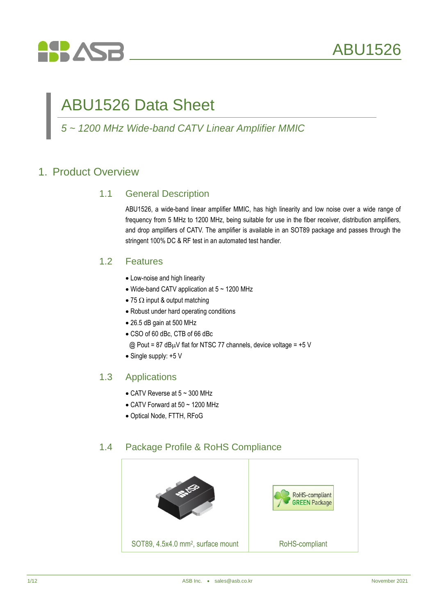

# ABU1526 Data Sheet

### *5 ~ 1200 MHz Wide-band CATV Linear Amplifier MMIC*

### 1. Product Overview

#### 1.1 General Description

ABU1526, a wide-band linear amplifier MMIC, has high linearity and low noise over a wide range of frequency from 5 MHz to 1200 MHz, being suitable for use in the fiber receiver, distribution amplifiers, and drop amplifiers of CATV. The amplifier is available in an SOT89 package and passes through the stringent 100% DC & RF test in an automated test handler.

#### 1.2 Features

- Low-noise and high linearity
- $\bullet$  Wide-band CATV application at 5  $\sim$  1200 MHz
- 75  $\Omega$  input & output matching
- Robust under hard operating conditions
- 26.5 dB gain at 500 MHz
- CSO of 60 dBc, CTB of 66 dBc
- @ Pout = 87 dB $\mu$ V flat for NTSC 77 channels, device voltage = +5 V
- Single supply: +5 V

#### 1.3 Applications

- $\bullet$  CATV Reverse at 5 ~ 300 MHz
- $\bullet$  CATV Forward at 50 ~ 1200 MHz
- Optical Node, FTTH, RFoG

#### 1.4 Package Profile & RoHS Compliance

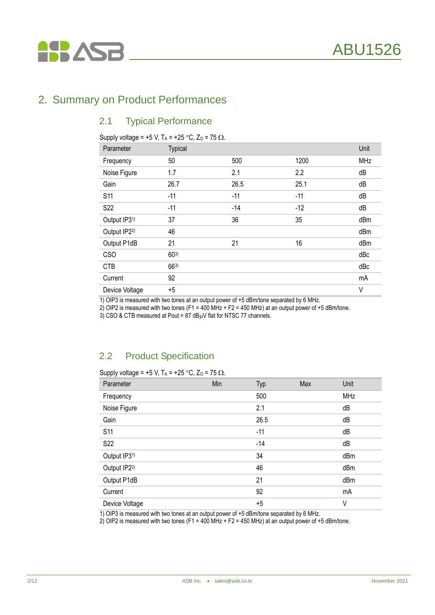### 2. Summary on Product Performances

**HASB** 

#### 2.1 Typical Performance

Supply voltage = +5 V, T<sub>A</sub> = +25 °C, Z<sub>0</sub> = 75  $\Omega$ .

| Parameter      | <b>Typical</b> |       |       | Unit       |
|----------------|----------------|-------|-------|------------|
| Frequency      | 50             | 500   | 1200  | <b>MHz</b> |
| Noise Figure   | 1.7            | 2.1   | 2.2   | dB         |
| Gain           | 26.7           | 26.5  | 25.1  | dB         |
| S11            | $-11$          | $-11$ | $-11$ | dB         |
| S22            | $-11$          | $-14$ | $-12$ | dB         |
| Output IP31)   | 37             | 36    | 35    | dBm        |
| Output IP22)   | 46             |       |       | dBm        |
| Output P1dB    | 21             | 21    | 16    | dBm        |
| <b>CSO</b>     | $60^{3}$       |       |       | dBc        |
| <b>CTB</b>     | $66^{3}$       |       |       | dBc        |
| Current        | 92             |       |       | mA         |
| Device Voltage | $+5$           |       |       | V          |

1) OIP3 is measured with two tones at an output power of +5 dBm/tone separated by 6 MHz.

2) OIP2 is measured with two tones (F1 = 400 MHz + F2 = 450 MHz) at an output power of +5 dBm/tone.

3) CSO & CTB measured at Pout =  $87$  dB $\mu$ V flat for NTSC 77 channels.

#### 2.2 Product Specification

Supply voltage = +5 V,  $T_A$  = +25 °C,  $Z_0$  = 75  $\Omega$ .

| Parameter      | Min | Typ   | Max | Unit       |
|----------------|-----|-------|-----|------------|
| Frequency      |     | 500   |     | <b>MHz</b> |
| Noise Figure   |     | 2.1   |     | dB         |
| Gain           |     | 26.5  |     | dB         |
| S11            |     | $-11$ |     | dB         |
| S22            |     | $-14$ |     | dB         |
| Output IP31)   |     | 34    |     | dBm        |
| Output IP22)   |     | 46    |     | dBm        |
| Output P1dB    |     | 21    |     | dBm        |
| Current        |     | 92    |     | mA         |
| Device Voltage |     | $+5$  |     | ٧          |

1) OIP3 is measured with two tones at an output power of +5 dBm/tone separated by 6 MHz.

2) OIP2 is measured with two tones (F1 = 400 MHz + F2 = 450 MHz) at an output power of +5 dBm/tone.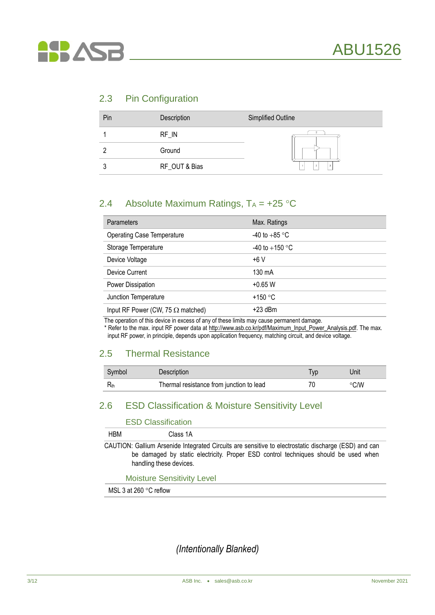

#### 2.3 Pin Configuration

| Pin | Description   | Simplified Outline |
|-----|---------------|--------------------|
|     | RF IN         |                    |
|     | Ground        |                    |
| ີ   | RF_OUT & Bias | 3                  |

#### 2.4 Absolute Maximum Ratings,  $T_A = +25$  °C

| <b>Parameters</b>                        | Max. Ratings     |
|------------------------------------------|------------------|
| <b>Operating Case Temperature</b>        | -40 to $+85$ °C  |
| Storage Temperature                      | -40 to $+150$ °C |
| Device Voltage                           | $+6V$            |
| Device Current                           | 130 mA           |
| Power Dissipation                        | $+0.65$ W        |
| Junction Temperature                     | +150 $\degree$ C |
| Input RF Power (CW, 75 $\Omega$ matched) | $+23$ dBm        |

The operation of this device in excess of any of these limits may cause permanent damage.

\* Refer to the max. input RF power data at [http://www.asb.co.kr/pdf/Maximum\\_Input\\_Power\\_Analysis.pdf.](http://www.asb.co.kr/pdf/Maximum_Input_Power_Analysis.pdf) The max. input RF power, in principle, depends upon application frequency, matching circuit, and device voltage.

### 2.5 Thermal Resistance

| Symbol | Description                              | Unit |
|--------|------------------------------------------|------|
|        | Thermal resistance from junction to lead | °C/W |

### 2.6 ESD Classification & Moisture Sensitivity Level

|            | <b>ESD Classification</b> |                                                                                                                                                                                             |
|------------|---------------------------|---------------------------------------------------------------------------------------------------------------------------------------------------------------------------------------------|
| <b>HBM</b> | Class 1A                  |                                                                                                                                                                                             |
|            | handling these devices.   | CAUTION: Gallium Arsenide Integrated Circuits are sensitive to electrostatic discharge (ESD) and can<br>be damaged by static electricity. Proper ESD control techniques should be used when |

Moisture Sensitivity Level

MSL 3 at 260 $\degree$ C reflow

*(Intentionally Blanked)*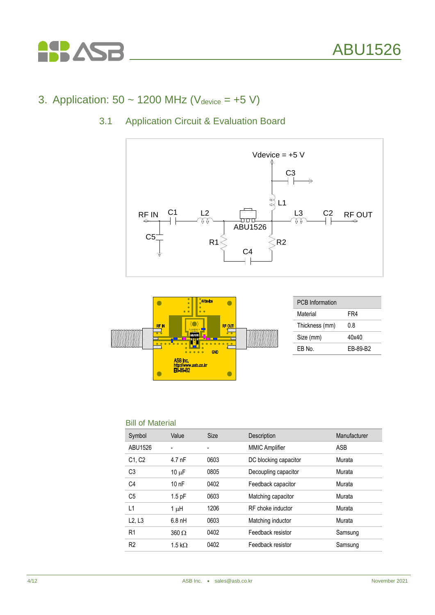

# 3. Application:  $50 \sim 1200$  MHz (V<sub>device</sub> =  $+5$  V)

### 3.1 Application Circuit & Evaluation Board





| <b>PCB</b> Information |          |
|------------------------|----------|
| Material               | FR4      |
| Thickness (mm)         | 0.8      |
| Size (mm)              | 40x40    |
| FB No.                 | FB-89-B2 |

#### Bill of Material

| Symbol                          | Value          | <b>Size</b> | Description           | Manufacturer |
|---------------------------------|----------------|-------------|-----------------------|--------------|
| ABU1526                         |                |             | <b>MMIC Amplifier</b> | ASB          |
| C <sub>1</sub> , C <sub>2</sub> | $4.7$ nF       | 0603        | DC blocking capacitor | Murata       |
| C <sub>3</sub>                  | $10 \mu F$     | 0805        | Decoupling capacitor  | Murata       |
| C <sub>4</sub>                  | 10nF           | 0402        | Feedback capacitor    | Murata       |
| C <sub>5</sub>                  | $1.5$ pF       | 0603        | Matching capacitor    | Murata       |
| L1                              | 1 µH           | 1206        | RF choke inductor     | Murata       |
| L2, L3                          | $6.8$ nH       | 0603        | Matching inductor     | Murata       |
| R <sub>1</sub>                  | $360 \Omega$   | 0402        | Feedback resistor     | Samsung      |
| R <sub>2</sub>                  | 1.5 k $\Omega$ | 0402        | Feedback resistor     | Samsung      |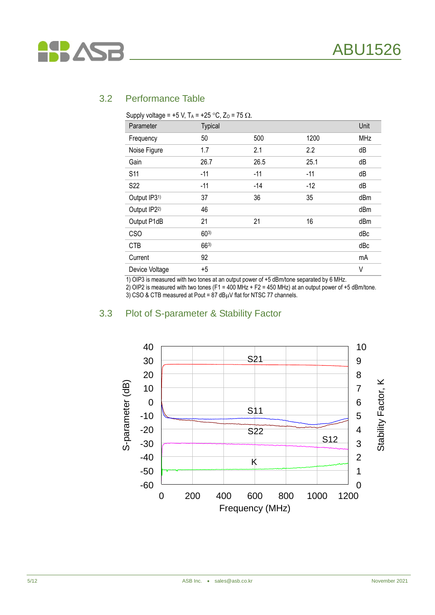

#### 3.2 Performance Table

| Supply voltage = +5 V, T <sub>A</sub> = +25 °C, Z <sub>0</sub> = 75 $\Omega$ . |                |       |       |            |
|--------------------------------------------------------------------------------|----------------|-------|-------|------------|
| Parameter                                                                      | <b>Typical</b> |       |       | Unit       |
| Frequency                                                                      | 50             | 500   | 1200  | <b>MHz</b> |
| Noise Figure                                                                   | 1.7            | 2.1   | 2.2   | dB         |
| Gain                                                                           | 26.7           | 26.5  | 25.1  | dB         |
| <b>S11</b>                                                                     | $-11$          | $-11$ | $-11$ | dB         |
| S <sub>22</sub>                                                                | $-11$          | $-14$ | $-12$ | dB         |
| Output IP31)                                                                   | 37             | 36    | 35    | dBm        |
| Output IP22)                                                                   | 46             |       |       | dBm        |
| Output P1dB                                                                    | 21             | 21    | 16    | dBm        |
| <b>CSO</b>                                                                     | $60^{3}$       |       |       | dBc        |
| <b>CTB</b>                                                                     | $66^{3}$       |       |       | dBc        |
| Current                                                                        | 92             |       |       | mA         |
| Device Voltage                                                                 | +5             |       |       | V          |

1) OIP3 is measured with two tones at an output power of +5 dBm/tone separated by 6 MHz.

2) OIP2 is measured with two tones (F1 = 400 MHz + F2 = 450 MHz) at an output power of +5 dBm/tone.

3) CSO & CTB measured at Pout = 87 dB $\mu$ V flat for NTSC 77 channels.

#### 3.3 Plot of S-parameter & Stability Factor

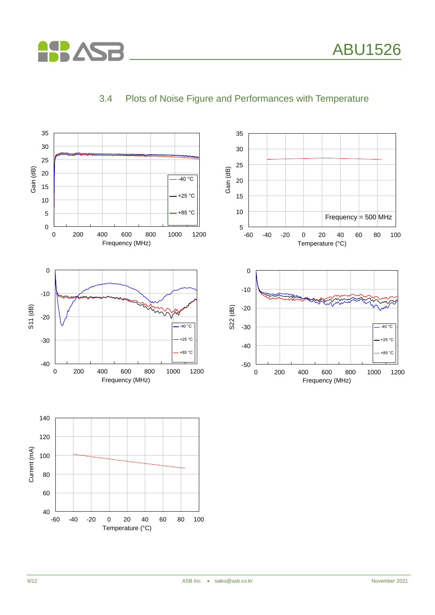



### 3.4 Plots of Noise Figure and Performances with Temperature

**ASP ASB**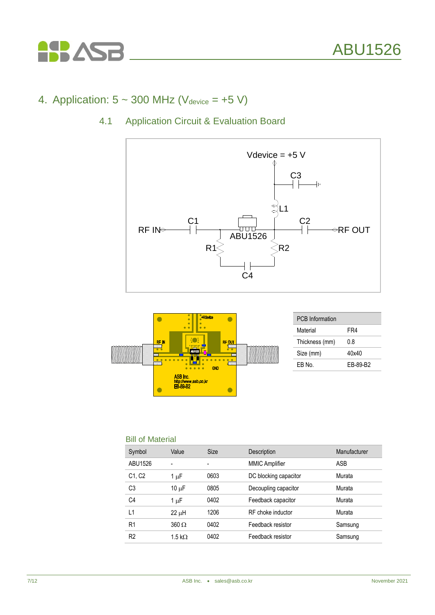

# 4. Application:  $5 \sim 300$  MHz (V<sub>device</sub> = +5 V)

### 4.1 Application Circuit & Evaluation Board





#### Bill of Material

| Symbol                          | Value          | <b>Size</b> | Description           | Manufacturer |
|---------------------------------|----------------|-------------|-----------------------|--------------|
| ABU1526                         |                |             | <b>MMIC Amplifier</b> | <b>ASB</b>   |
| C <sub>1</sub> , C <sub>2</sub> | 1 µF           | 0603        | DC blocking capacitor | Murata       |
| C <sub>3</sub>                  | $10 \mu F$     | 0805        | Decoupling capacitor  | Murata       |
| C4                              | 1 µF           | 0402        | Feedback capacitor    | Murata       |
| ا ا                             | $22 \mu H$     | 1206        | RF choke inductor     | Murata       |
| R1                              | $360 \Omega$   | 0402        | Feedback resistor     | Samsung      |
| R <sub>2</sub>                  | 1.5 k $\Omega$ | 0402        | Feedback resistor     | Samsung      |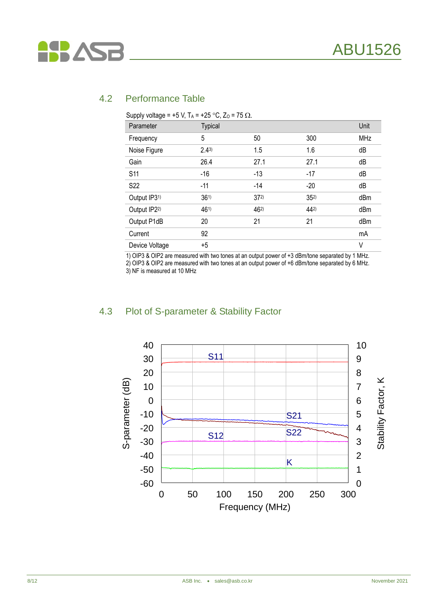

#### 4.2 Performance Table

| Parameter                | <b>Typical</b> |          |          | Unit       |
|--------------------------|----------------|----------|----------|------------|
| Frequency                | 5              | 50       | 300      | <b>MHz</b> |
| Noise Figure             | $2.4^{3}$      | 1.5      | 1.6      | dB         |
| Gain                     | 26.4           | 27.1     | 27.1     | dB         |
| <b>S11</b>               | $-16$          | $-13$    | $-17$    | dB         |
| S <sub>22</sub>          | $-11$          | $-14$    | $-20$    | dB         |
| Output IP3 <sup>1)</sup> | $36^{1}$       | $37^{2}$ | $35^{2}$ | dBm        |
| Output IP22)             | 461)           | 462)     | $44^{2}$ | dBm        |
| Output P1dB              | 20             | 21       | 21       | dBm        |
| Current                  | 92             |          |          | mA         |
| Device Voltage           | $+5$           |          |          | V          |

Supply voltage = +5 V, T, = +25 °C, Z, = 75 O

1) OIP3 & OIP2 are measured with two tones at an output power of +3 dBm/tone separated by 1 MHz.

2) OIP3 & OIP2 are measured with two tones at an output power of +6 dBm/tone separated by 6 MHz. 3) NF is measured at 10 MHz

#### 4.3 Plot of S-parameter & Stability Factor

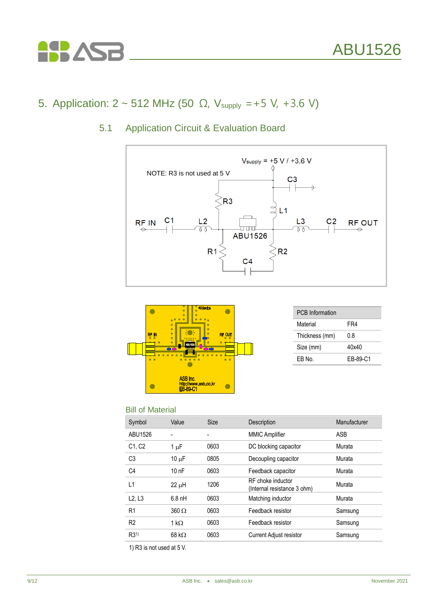

# 5. Application:  $2 \sim 512$  MHz (50 Ω, V<sub>supply</sub> = +5 V, +3.6 V)

5.1 Application Circuit & Evaluation Board





| <b>PCB</b> Information |          |
|------------------------|----------|
| Material               | FR4      |
| Thickness (mm)         | 0.8      |
| Size (mm)              | 40x40    |
| FR No.                 | FR-89-C1 |

#### Bill of Material

| Symbol                          | Value                | <b>Size</b> | Description                                      | Manufacturer |
|---------------------------------|----------------------|-------------|--------------------------------------------------|--------------|
| ABU1526                         |                      |             | <b>MMIC Amplifier</b>                            | ASB          |
| C <sub>1</sub> , C <sub>2</sub> | $1 \mu F$            | 0603        | DC blocking capacitor                            | Murata       |
| C <sub>3</sub>                  | 10 $\mu$ F           | 0805        | Decoupling capacitor                             | Murata       |
| C <sub>4</sub>                  | 10nF                 | 0603        | Feedback capacitor                               | Murata       |
| L1                              | 22 µH                | 1206        | RF choke inductor<br>(Internal resistance 3 ohm) | Murata       |
| L2, L3                          | $6.8$ nH             | 0603        | Matching inductor                                | Murata       |
| R <sub>1</sub>                  | $360 \Omega$         | 0603        | Feedback resistor                                | Samsung      |
| R <sub>2</sub>                  | 1 k $\Omega$         | 0603        | Feedback resistor                                | Samsung      |
| R3 <sup>1</sup>                 | $68 \text{ k}\Omega$ | 0603        | <b>Current Adjust resistor</b>                   | Samsung      |

1) R3 is not used at 5 V.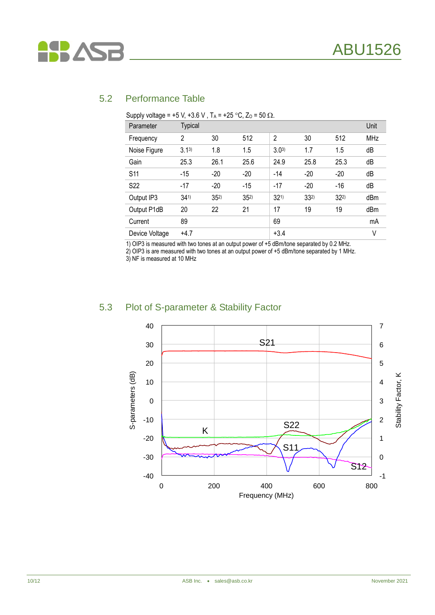

#### 5.2 Performance Table

|                 | oupply voltage  | $\cdot$ . $\cdot$ . $\cdot$ . $\cdot$ . $\cdot$ . $\cdot$ . $\cdot$ . $\cdot$ . $\cdot$ . $\cdot$ . $\cdot$ . $\cdot$ . $\cdot$ . $\cdot$ . $\cdot$ . $\cdot$ . $\cdot$ . $\cdot$ . $\cdot$ . $\cdot$ . $\cdot$ . $\cdot$ . $\cdot$ . $\cdot$ . $\cdot$ . $\cdot$ . $\cdot$ . $\cdot$ . $\cdot$ . $\cdot$ . $\cdot$ . $\cdot$ |          | $\sim$ $\sim$ , $\sim$ | - 99           |          |          |            |
|-----------------|-----------------|-------------------------------------------------------------------------------------------------------------------------------------------------------------------------------------------------------------------------------------------------------------------------------------------------------------------------------|----------|------------------------|----------------|----------|----------|------------|
|                 | Parameter       | <b>Typical</b>                                                                                                                                                                                                                                                                                                                |          |                        |                |          |          | Unit       |
|                 | Frequency       | $\overline{c}$                                                                                                                                                                                                                                                                                                                | 30       | 512                    | $\overline{2}$ | 30       | 512      | <b>MHz</b> |
|                 | Noise Figure    | $3.1^{3}$                                                                                                                                                                                                                                                                                                                     | 1.8      | 1.5                    | $3.0^{3}$      | 1.7      | 1.5      | dB         |
|                 | Gain            | 25.3                                                                                                                                                                                                                                                                                                                          | 26.1     | 25.6                   | 24.9           | 25.8     | 25.3     | dB         |
| S <sub>11</sub> |                 | $-15$                                                                                                                                                                                                                                                                                                                         | $-20$    | $-20$                  | $-14$          | $-20$    | $-20$    | dB         |
|                 | S <sub>22</sub> | $-17$                                                                                                                                                                                                                                                                                                                         | $-20$    | $-15$                  | $-17$          | $-20$    | $-16$    | dB         |
|                 | Output IP3      | $34^{1}$                                                                                                                                                                                                                                                                                                                      | $35^{2}$ | $35^{2}$               | $32^{1}$       | $33^{2}$ | $32^{2}$ | dBm        |
|                 | Output P1dB     | 20                                                                                                                                                                                                                                                                                                                            | 22       | 21                     | 17             | 19       | 19       | dBm        |
|                 | Current         | 89                                                                                                                                                                                                                                                                                                                            |          |                        | 69             |          |          | mA         |
|                 | Device Voltage  | $+4.7$                                                                                                                                                                                                                                                                                                                        |          |                        | $+3.4$         |          |          | ٧          |
|                 |                 |                                                                                                                                                                                                                                                                                                                               |          |                        |                |          |          |            |

Supply voltage = +5 V, +3.6 V,  $T_A$  = +25 °C,  $Z_0$  = 50  $\Omega$ 

1) OIP3 is measured with two tones at an output power of +5 dBm/tone separated by 0.2 MHz.

2) OIP3 is are measured with two tones at an output power of +5 dBm/tone separated by 1 MHz.

3) NF is measured at 10 MHz

#### 5.3 Plot of S-parameter & Stability Factor

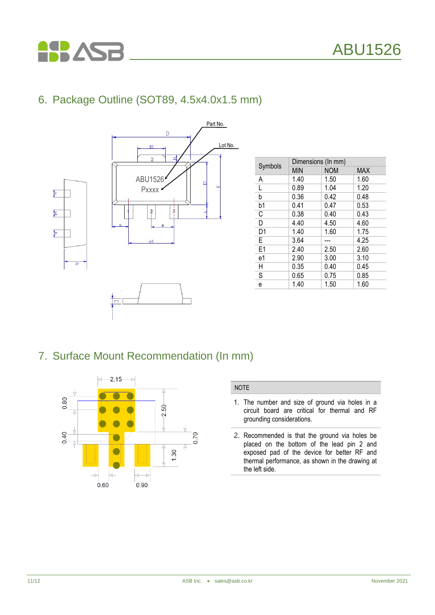# 6. Package Outline (SOT89, 4.5x4.0x1.5 mm)

**ASP** 



|                | Dimensions (In mm) |            |            |  |  |  |
|----------------|--------------------|------------|------------|--|--|--|
| Symbols        | <b>MIN</b>         | <b>NOM</b> | <b>MAX</b> |  |  |  |
| Α              | 1.40               | 1.50       | 1.60       |  |  |  |
| L              | 0.89               | 1.04       | 1.20       |  |  |  |
| b              | 0.36               | 0.42       | 0.48       |  |  |  |
| b1             | 0.41               | 0.47       | 0.53       |  |  |  |
| C              | 0.38               | 0.40       | 0.43       |  |  |  |
| D              | 4.40               | 4.50       | 4.60       |  |  |  |
| D1             | 1.40               | 1.60       | 1.75       |  |  |  |
| E              | 3.64               |            | 4.25       |  |  |  |
| E <sub>1</sub> | 2.40               | 2.50       | 2.60       |  |  |  |
| e1             | 2.90               | 3.00       | 3.10       |  |  |  |
| Η              | 0.35               | 0.40       | 0.45       |  |  |  |
| S              | 0.65               | 0.75       | 0.85       |  |  |  |
| e              | 1.40               | 1.50       | 1.60       |  |  |  |

### 7. Surface Mount Recommendation (In mm)



#### NOTE

- 1. The number and size of ground via holes in a circuit board are critical for thermal and RF grounding considerations.
- 2. Recommended is that the ground via holes be placed on the bottom of the lead pin 2 and exposed pad of the device for better RF and thermal performance, as shown in the drawing at the left side.